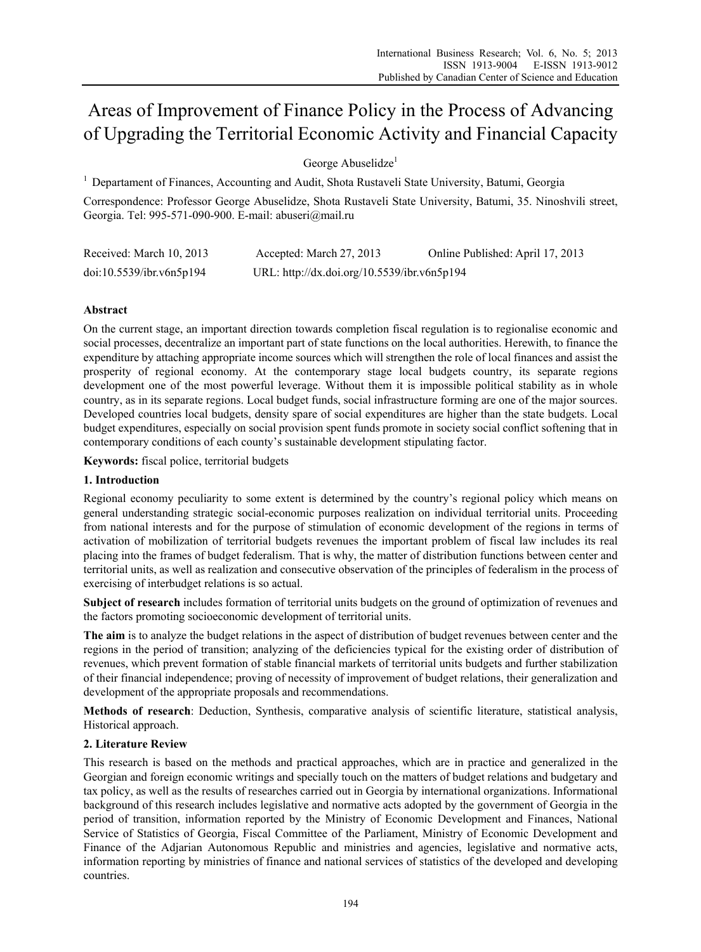# Areas of Improvement of Finance Policy in the Process of Advancing of Upgrading the Territorial Economic Activity and Financial Capacity

George Abuselidze $<sup>1</sup>$ </sup>

<sup>1</sup> Departament of Finances, Accounting and Audit, Shota Rustaveli State University, Batumi, Georgia

Correspondence: Professor George Abuselidze, Shota Rustaveli State University, Batumi, 35. Ninoshvili street, Georgia. Tel: 995-571-090-900. E-mail: abuseri@mail.ru

| Received: March 10, 2013 | Accepted: March 27, 2013                    | Online Published: April 17, 2013 |
|--------------------------|---------------------------------------------|----------------------------------|
| doi:10.5539/ibr.v6n5p194 | URL: http://dx.doi.org/10.5539/ibr.v6n5p194 |                                  |

# **Abstract**

On the current stage, an important direction towards completion fiscal regulation is to regionalise economic and social processes, decentralize an important part of state functions on the local authorities. Herewith, to finance the expenditure by attaching appropriate income sources which will strengthen the role of local finances and assist the prosperity of regional economy. At the contemporary stage local budgets country, its separate regions development one of the most powerful leverage. Without them it is impossible political stability as in whole country, as in its separate regions. Local budget funds, social infrastructure forming are one of the major sources. Developed countries local budgets, density spare of social expenditures are higher than the state budgets. Local budget expenditures, especially on social provision spent funds promote in society social conflict softening that in contemporary conditions of each county's sustainable development stipulating factor.

**Keywords:** fiscal police, territorial budgets

## **1. Introduction**

Regional economy peculiarity to some extent is determined by the country's regional policy which means on general understanding strategic social-economic purposes realization on individual territorial units. Proceeding from national interests and for the purpose of stimulation of economic development of the regions in terms of activation of mobilization of territorial budgets revenues the important problem of fiscal law includes its real placing into the frames of budget federalism. That is why, the matter of distribution functions between center and territorial units, as well as realization and consecutive observation of the principles of federalism in the process of exercising of interbudget relations is so actual.

**Subject of research** includes formation of territorial units budgets on the ground of optimization of revenues and the factors promoting socioeconomic development of territorial units.

**The aim** is to analyze the budget relations in the aspect of distribution of budget revenues between center and the regions in the period of transition; analyzing of the deficiencies typical for the existing order of distribution of revenues, which prevent formation of stable financial markets of territorial units budgets and further stabilization of their financial independence; proving of necessity of improvement of budget relations, their generalization and development of the appropriate proposals and recommendations.

**Methods of research**: Deduction, Synthesis, comparative analysis of scientific literature, statistical analysis, Historical approach.

## **2. Literature Review**

This research is based on the methods and practical approaches, which are in practice and generalized in the Georgian and foreign economic writings and specially touch on the matters of budget relations and budgetary and tax policy, as well as the results of researches carried out in Georgia by international organizations. Informational background of this research includes legislative and normative acts adopted by the government of Georgia in the period of transition, information reported by the Ministry of Economic Development and Finances, National Service of Statistics of Georgia, Fiscal Committee of the Parliament, Ministry of Economic Development and Finance of the Adjarian Autonomous Republic and ministries and agencies, legislative and normative acts, information reporting by ministries of finance and national services of statistics of the developed and developing countries.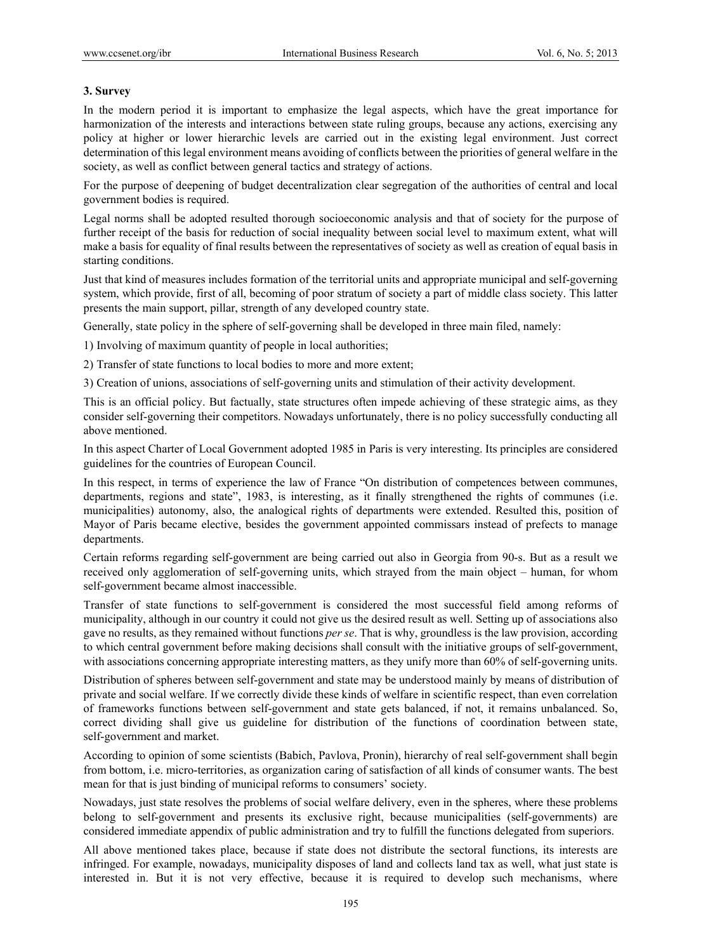#### **3. Survey**

In the modern period it is important to emphasize the legal aspects, which have the great importance for harmonization of the interests and interactions between state ruling groups, because any actions, exercising any policy at higher or lower hierarchic levels are carried out in the existing legal environment. Just correct determination of this legal environment means avoiding of conflicts between the priorities of general welfare in the society, as well as conflict between general tactics and strategy of actions.

For the purpose of deepening of budget decentralization clear segregation of the authorities of central and local government bodies is required.

Legal norms shall be adopted resulted thorough socioeconomic analysis and that of society for the purpose of further receipt of the basis for reduction of social inequality between social level to maximum extent, what will make a basis for equality of final results between the representatives of society as well as creation of equal basis in starting conditions.

Just that kind of measures includes formation of the territorial units and appropriate municipal and self-governing system, which provide, first of all, becoming of poor stratum of society a part of middle class society. This latter presents the main support, pillar, strength of any developed country state.

Generally, state policy in the sphere of self-governing shall be developed in three main filed, namely:

1) Involving of maximum quantity of people in local authorities;

2) Transfer of state functions to local bodies to more and more extent;

3) Creation of unions, associations of self-governing units and stimulation of their activity development.

This is an official policy. But factually, state structures often impede achieving of these strategic aims, as they consider self-governing their competitors. Nowadays unfortunately, there is no policy successfully conducting all above mentioned.

In this aspect Charter of Local Government adopted 1985 in Paris is very interesting. Its principles are considered guidelines for the countries of European Council.

In this respect, in terms of experience the law of France "On distribution of competences between communes, departments, regions and state", 1983, is interesting, as it finally strengthened the rights of communes (i.e. municipalities) autonomy, also, the analogical rights of departments were extended. Resulted this, position of Mayor of Paris became elective, besides the government appointed commissars instead of prefects to manage departments.

Certain reforms regarding self-government are being carried out also in Georgia from 90-s. But as a result we received only agglomeration of self-governing units, which strayed from the main object – human, for whom self-government became almost inaccessible.

Transfer of state functions to self-government is considered the most successful field among reforms of municipality, although in our country it could not give us the desired result as well. Setting up of associations also gave no results, as they remained without functions *per se*. That is why, groundless is the law provision, according to which central government before making decisions shall consult with the initiative groups of self-government, with associations concerning appropriate interesting matters, as they unify more than 60% of self-governing units.

Distribution of spheres between self-government and state may be understood mainly by means of distribution of private and social welfare. If we correctly divide these kinds of welfare in scientific respect, than even correlation of frameworks functions between self-government and state gets balanced, if not, it remains unbalanced. So, correct dividing shall give us guideline for distribution of the functions of coordination between state, self-government and market.

According to opinion of some scientists (Babich, Pavlova, Pronin), hierarchy of real self-government shall begin from bottom, i.e. micro-territories, as organization caring of satisfaction of all kinds of consumer wants. The best mean for that is just binding of municipal reforms to consumers' society.

Nowadays, just state resolves the problems of social welfare delivery, even in the spheres, where these problems belong to self-government and presents its exclusive right, because municipalities (self-governments) are considered immediate appendix of public administration and try to fulfill the functions delegated from superiors.

All above mentioned takes place, because if state does not distribute the sectoral functions, its interests are infringed. For example, nowadays, municipality disposes of land and collects land tax as well, what just state is interested in. But it is not very effective, because it is required to develop such mechanisms, where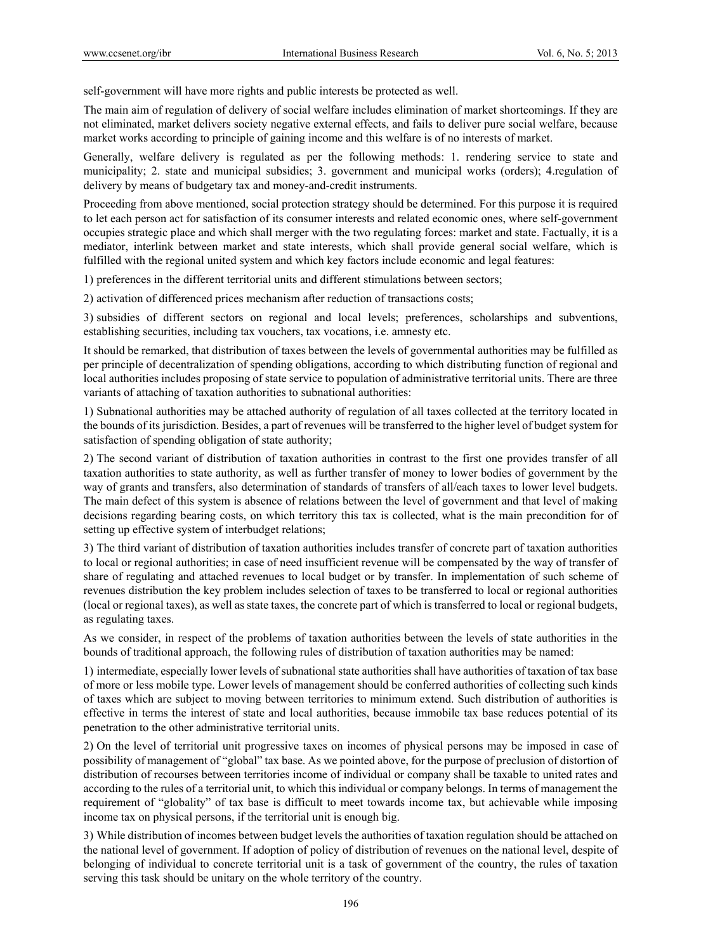self-government will have more rights and public interests be protected as well.

The main aim of regulation of delivery of social welfare includes elimination of market shortcomings. If they are not eliminated, market delivers society negative external effects, and fails to deliver pure social welfare, because market works according to principle of gaining income and this welfare is of no interests of market.

Generally, welfare delivery is regulated as per the following methods: 1. rendering service to state and municipality; 2. state and municipal subsidies; 3. government and municipal works (orders); 4.regulation of delivery by means of budgetary tax and money-and-credit instruments.

Proceeding from above mentioned, social protection strategy should be determined. For this purpose it is required to let each person act for satisfaction of its consumer interests and related economic ones, where self-government occupies strategic place and which shall merger with the two regulating forces: market and state. Factually, it is a mediator, interlink between market and state interests, which shall provide general social welfare, which is fulfilled with the regional united system and which key factors include economic and legal features:

1) preferences in the different territorial units and different stimulations between sectors;

2) activation of differenced prices mechanism after reduction of transactions costs;

3) subsidies of different sectors on regional and local levels; preferences, scholarships and subventions, establishing securities, including tax vouchers, tax vocations, i.e. amnesty etc.

It should be remarked, that distribution of taxes between the levels of governmental authorities may be fulfilled as per principle of decentralization of spending obligations, according to which distributing function of regional and local authorities includes proposing of state service to population of administrative territorial units. There are three variants of attaching of taxation authorities to subnational authorities:

1) Subnational authorities may be attached authority of regulation of all taxes collected at the territory located in the bounds of its jurisdiction. Besides, a part of revenues will be transferred to the higher level of budget system for satisfaction of spending obligation of state authority;

2) The second variant of distribution of taxation authorities in contrast to the first one provides transfer of all taxation authorities to state authority, as well as further transfer of money to lower bodies of government by the way of grants and transfers, also determination of standards of transfers of all/each taxes to lower level budgets. The main defect of this system is absence of relations between the level of government and that level of making decisions regarding bearing costs, on which territory this tax is collected, what is the main precondition for of setting up effective system of interbudget relations;

3) The third variant of distribution of taxation authorities includes transfer of concrete part of taxation authorities to local or regional authorities; in case of need insufficient revenue will be compensated by the way of transfer of share of regulating and attached revenues to local budget or by transfer. In implementation of such scheme of revenues distribution the key problem includes selection of taxes to be transferred to local or regional authorities (local or regional taxes), as well as state taxes, the concrete part of which is transferred to local or regional budgets, as regulating taxes.

As we consider, in respect of the problems of taxation authorities between the levels of state authorities in the bounds of traditional approach, the following rules of distribution of taxation authorities may be named:

1) intermediate, especially lower levels of subnational state authorities shall have authorities of taxation of tax base of more or less mobile type. Lower levels of management should be conferred authorities of collecting such kinds of taxes which are subject to moving between territories to minimum extend. Such distribution of authorities is effective in terms the interest of state and local authorities, because immobile tax base reduces potential of its penetration to the other administrative territorial units.

2) On the level of territorial unit progressive taxes on incomes of physical persons may be imposed in case of possibility of management of "global" tax base. As we pointed above, for the purpose of preclusion of distortion of distribution of recourses between territories income of individual or company shall be taxable to united rates and according to the rules of a territorial unit, to which this individual or company belongs. In terms of management the requirement of "globality" of tax base is difficult to meet towards income tax, but achievable while imposing income tax on physical persons, if the territorial unit is enough big.

3) While distribution of incomes between budget levels the authorities of taxation regulation should be attached on the national level of government. If adoption of policy of distribution of revenues on the national level, despite of belonging of individual to concrete territorial unit is a task of government of the country, the rules of taxation serving this task should be unitary on the whole territory of the country.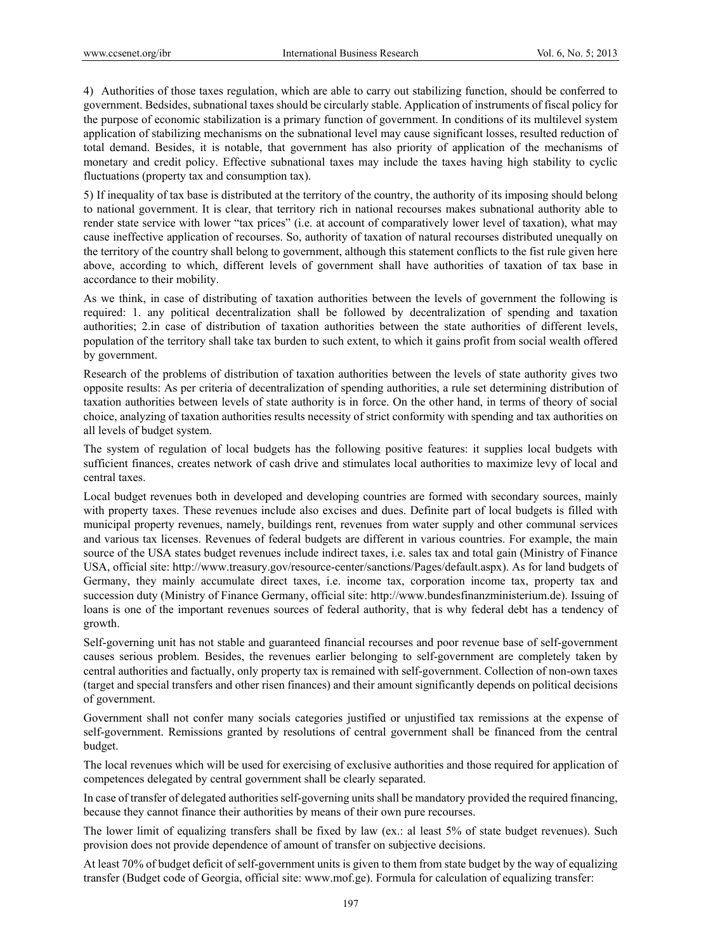4) Authorities of those taxes regulation, which are able to carry out stabilizing function, should be conferred to government. Bedsides, subnational taxes should be circularly stable. Application of instruments of fiscal policy for the purpose of economic stabilization is a primary function of government. In conditions of its multilevel system application of stabilizing mechanisms on the subnational level may cause significant losses, resulted reduction of total demand. Besides, it is notable, that government has also priority of application of the mechanisms of monetary and credit policy. Effective subnational taxes may include the taxes having high stability to cyclic fluctuations (property tax and consumption tax).

5) If inequality of tax base is distributed at the territory of the country, the authority of its imposing should belong to national government. It is clear, that territory rich in national recourses makes subnational authority able to render state service with lower "tax prices" (i.e. at account of comparatively lower level of taxation), what may cause ineffective application of recourses. So, authority of taxation of natural recourses distributed unequally on the territory of the country shall belong to government, although this statement conflicts to the fist rule given here above, according to which, different levels of government shall have authorities of taxation of tax base in accordance to their mobility.

As we think, in case of distributing of taxation authorities between the levels of government the following is required: 1. any political decentralization shall be followed by decentralization of spending and taxation authorities; 2.in case of distribution of taxation authorities between the state authorities of different levels, population of the territory shall take tax burden to such extent, to which it gains profit from social wealth offered by government.

Research of the problems of distribution of taxation authorities between the levels of state authority gives two opposite results: As per criteria of decentralization of spending authorities, a rule set determining distribution of taxation authorities between levels of state authority is in force. On the other hand, in terms of theory of social choice, analyzing of taxation authorities results necessity of strict conformity with spending and tax authorities on all levels of budget system.

The system of regulation of local budgets has the following positive features: it supplies local budgets with sufficient finances, creates network of cash drive and stimulates local authorities to maximize levy of local and central taxes.

Local budget revenues both in developed and developing countries are formed with secondary sources, mainly with property taxes. These revenues include also excises and dues. Definite part of local budgets is filled with municipal property revenues, namely, buildings rent, revenues from water supply and other communal services and various tax licenses. Revenues of federal budgets are different in various countries. For example, the main source of the USA states budget revenues include indirect taxes, i.e. sales tax and total gain (Ministry of Finance USA, official site: http://www.treasury.gov/resource-center/sanctions/Pages/default.aspx). As for land budgets of Germany, they mainly accumulate direct taxes, i.e. income tax, corporation income tax, property tax and succession duty (Ministry of Finance Germany, official site: http://www.bundesfinanzministerium.de). Issuing of loans is one of the important revenues sources of federal authority, that is why federal debt has a tendency of growth.

Self-governing unit has not stable and guaranteed financial recourses and poor revenue base of self-government causes serious problem. Besides, the revenues earlier belonging to self-government are completely taken by central authorities and factually, only property tax is remained with self-government. Collection of non-own taxes (target and special transfers and other risen finances) and their amount significantly depends on political decisions of government.

Government shall not confer many socials categories justified or unjustified tax remissions at the expense of self-government. Remissions granted by resolutions of central government shall be financed from the central budget.

The local revenues which will be used for exercising of exclusive authorities and those required for application of competences delegated by central government shall be clearly separated.

In case of transfer of delegated authorities self-governing units shall be mandatory provided the required financing, because they cannot finance their authorities by means of their own pure recourses.

The lower limit of equalizing transfers shall be fixed by law (ex.: al least 5% of state budget revenues). Such provision does not provide dependence of amount of transfer on subjective decisions.

At least 70% of budget deficit of self-government units is given to them from state budget by the way of equalizing transfer (Budget code of Georgia, official site: www.mof.ge). Formula for calculation of equalizing transfer: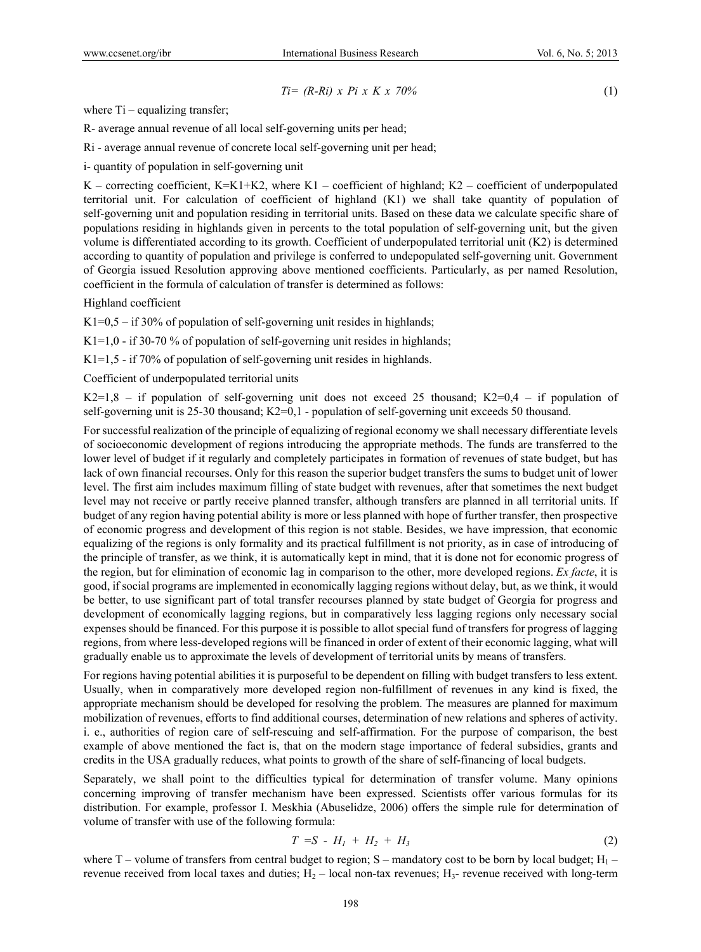$$
Ti = (R-Ri) \times Pi \times K \times 70\% \tag{1}
$$

where Ti – equalizing transfer;

R- average annual revenue of all local self-governing units per head;

Ri - average annual revenue of concrete local self-governing unit per head;

i- quantity of population in self-governing unit

K – correcting coefficient, K=K1+K2, where K1 – coefficient of highland; K2 – coefficient of underpopulated territorial unit. For calculation of coefficient of highland (K1) we shall take quantity of population of self-governing unit and population residing in territorial units. Based on these data we calculate specific share of populations residing in highlands given in percents to the total population of self-governing unit, but the given volume is differentiated according to its growth. Coefficient of underpopulated territorial unit (K2) is determined according to quantity of population and privilege is conferred to undepopulated self-governing unit. Government of Georgia issued Resolution approving above mentioned coefficients. Particularly, as per named Resolution, coefficient in the formula of calculation of transfer is determined as follows:

Highland coefficient

 $K1=0,5$  – if 30% of population of self-governing unit resides in highlands;

K1=1,0 - if 30-70 % of population of self-governing unit resides in highlands;

K1=1,5 - if 70% of population of self-governing unit resides in highlands.

Coefficient of underpopulated territorial units

K2=1,8 – if population of self-governing unit does not exceed 25 thousand; K2=0,4 – if population of self-governing unit is 25-30 thousand; K2=0,1 - population of self-governing unit exceeds 50 thousand.

For successful realization of the principle of equalizing of regional economy we shall necessary differentiate levels of socioeconomic development of regions introducing the appropriate methods. The funds are transferred to the lower level of budget if it regularly and completely participates in formation of revenues of state budget, but has lack of own financial recourses. Only for this reason the superior budget transfers the sums to budget unit of lower level. The first aim includes maximum filling of state budget with revenues, after that sometimes the next budget level may not receive or partly receive planned transfer, although transfers are planned in all territorial units. If budget of any region having potential ability is more or less planned with hope of further transfer, then prospective of economic progress and development of this region is not stable. Besides, we have impression, that economic equalizing of the regions is only formality and its practical fulfillment is not priority, as in case of introducing of the principle of transfer, as we think, it is automatically kept in mind, that it is done not for economic progress of the region, but for elimination of economic lag in comparison to the other, more developed regions. *Ex facte*, it is good, if social programs are implemented in economically lagging regions without delay, but, as we think, it would be better, to use significant part of total transfer recourses planned by state budget of Georgia for progress and development of economically lagging regions, but in comparatively less lagging regions only necessary social expenses should be financed. For this purpose it is possible to allot special fund of transfers for progress of lagging regions, from where less-developed regions will be financed in order of extent of their economic lagging, what will gradually enable us to approximate the levels of development of territorial units by means of transfers.

For regions having potential abilities it is purposeful to be dependent on filling with budget transfers to less extent. Usually, when in comparatively more developed region non-fulfillment of revenues in any kind is fixed, the appropriate mechanism should be developed for resolving the problem. The measures are planned for maximum mobilization of revenues, efforts to find additional courses, determination of new relations and spheres of activity. i. e., authorities of region care of self-rescuing and self-affirmation. For the purpose of comparison, the best example of above mentioned the fact is, that on the modern stage importance of federal subsidies, grants and credits in the USA gradually reduces, what points to growth of the share of self-financing of local budgets.

Separately, we shall point to the difficulties typical for determination of transfer volume. Many opinions concerning improving of transfer mechanism have been expressed. Scientists offer various formulas for its distribution. For example, professor I. Meskhia (Abuselidze, 2006) offers the simple rule for determination of volume of transfer with use of the following formula:

$$
T = S - H_1 + H_2 + H_3 \tag{2}
$$

where T – volume of transfers from central budget to region;  $S$  – mandatory cost to be born by local budget;  $H_1$  – revenue received from local taxes and duties;  $H_2$  – local non-tax revenues;  $H_3$ - revenue received with long-term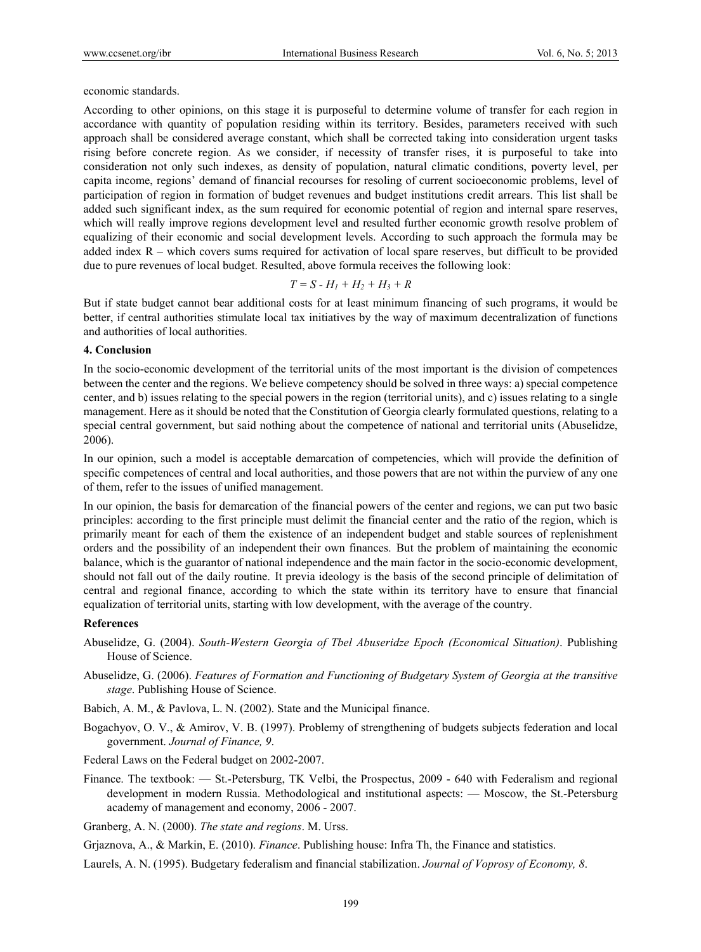economic standards.

According to other opinions, on this stage it is purposeful to determine volume of transfer for each region in accordance with quantity of population residing within its territory. Besides, parameters received with such approach shall be considered average constant, which shall be corrected taking into consideration urgent tasks rising before concrete region. As we consider, if necessity of transfer rises, it is purposeful to take into consideration not only such indexes, as density of population, natural climatic conditions, poverty level, per capita income, regions' demand of financial recourses for resoling of current socioeconomic problems, level of participation of region in formation of budget revenues and budget institutions credit arrears. This list shall be added such significant index, as the sum required for economic potential of region and internal spare reserves, which will really improve regions development level and resulted further economic growth resolve problem of equalizing of their economic and social development levels. According to such approach the formula may be added index R – which covers sums required for activation of local spare reserves, but difficult to be provided due to pure revenues of local budget. Resulted, above formula receives the following look:

$$
T = S - H_1 + H_2 + H_3 + R
$$

But if state budget cannot bear additional costs for at least minimum financing of such programs, it would be better, if central authorities stimulate local tax initiatives by the way of maximum decentralization of functions and authorities of local authorities.

#### **4. Conclusion**

In the socio-economic development of the territorial units of the most important is the division of competences between the center and the regions. We believe competency should be solved in three ways: a) special competence center, and b) issues relating to the special powers in the region (territorial units), and c) issues relating to a single management. Here as it should be noted that the Constitution of Georgia clearly formulated questions, relating to a special central government, but said nothing about the competence of national and territorial units (Abuselidze, 2006).

In our opinion, such a model is acceptable demarcation of competencies, which will provide the definition of specific competences of central and local authorities, and those powers that are not within the purview of any one of them, refer to the issues of unified management.

In our opinion, the basis for demarcation of the financial powers of the center and regions, we can put two basic principles: according to the first principle must delimit the financial center and the ratio of the region, which is primarily meant for each of them the existence of an independent budget and stable sources of replenishment orders and the possibility of an independent their own finances. But the problem of maintaining the economic balance, which is the guarantor of national independence and the main factor in the socio-economic development, should not fall out of the daily routine. It previa ideology is the basis of the second principle of delimitation of central and regional finance, according to which the state within its territory have to ensure that financial equalization of territorial units, starting with low development, with the average of the country.

#### **References**

- Abuselidze, G. (2004). *South-Western Georgia of Tbel Abuseridze Epoch (Economical Situation)*. Publishing House of Science.
- Abuselidze, G. (2006). *Features of Formation and Functioning of Budgetary System of Georgia at the transitive stage*. Publishing House of Science.
- Babich, A. M., & Pavlova, L. N. (2002). State and the Municipal finance.
- Bogachyov, O. V., & Amirov, V. B. (1997). Problemy of strengthening of budgets subjects federation and local government. *Journal of Finance, 9*.
- Federal Laws on the Federal budget on 2002-2007.
- Finance. The textbook: St.-Petersburg, TK Velbi, the Prospectus, 2009 640 with Federalism and regional development in modern Russia. Methodological and institutional aspects: — Moscow, the St.-Petersburg academy of management and economy, 2006 - 2007.

Granberg, A. N. (2000). *The state and regions*. M. Urss.

Grjaznova, A., & Markin, E. (2010). *Finance*. Publishing house: Infra Th, the Finance and statistics.

Laurels, A. N. (1995). Budgetary federalism and financial stabilization. *Journal of Voprosy of Economy, 8*.